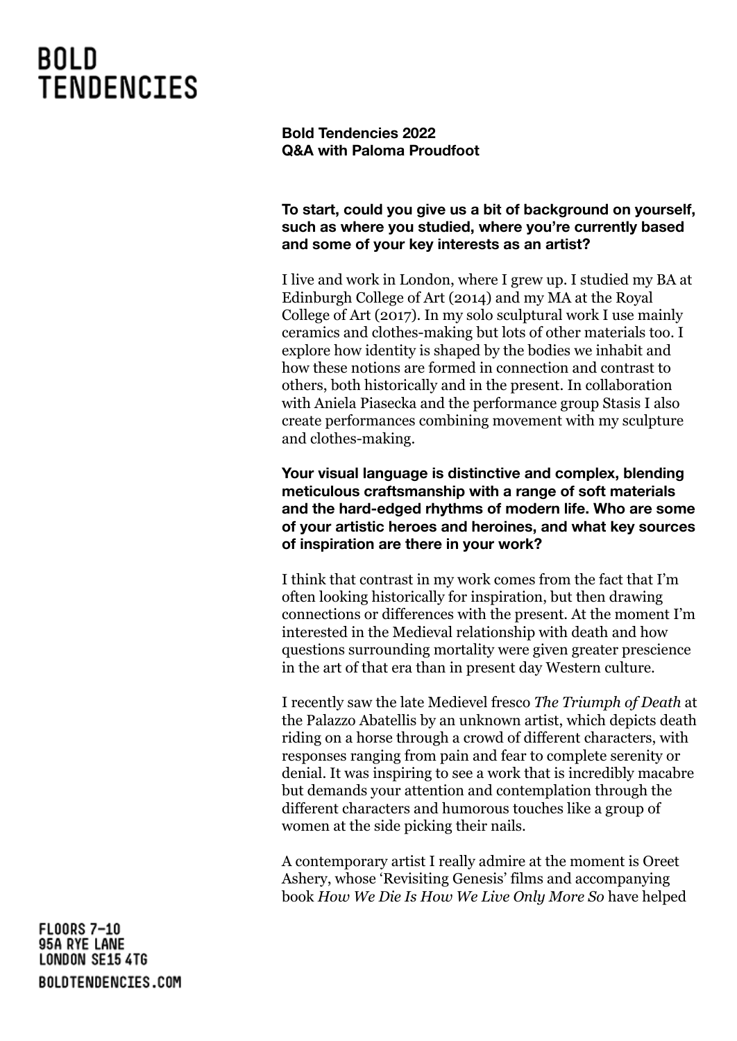**Bold Tendencies 2022 Q&A with Paloma Proudfoot**

### **To start, could you give us a bit of background on yourself, such as where you studied, where you're currently based and some of your key interests as an artist?**

I live and work in London, where I grew up. I studied my BA at Edinburgh College of Art (2014) and my MA at the Royal College of Art (2017). In my solo sculptural work I use mainly ceramics and clothes-making but lots of other materials too. I explore how identity is shaped by the bodies we inhabit and how these notions are formed in connection and contrast to others, both historically and in the present. In collaboration with Aniela Piasecka and the performance group Stasis I also create performances combining movement with my sculpture and clothes-making.

**Your visual language is distinctive and complex, blending meticulous craftsmanship with a range of soft materials and the hard-edged rhythms of modern life. Who are some of your artistic heroes and heroines, and what key sources of inspiration are there in your work?**

I think that contrast in my work comes from the fact that I'm often looking historically for inspiration, but then drawing connections or differences with the present. At the moment I'm interested in the Medieval relationship with death and how questions surrounding mortality were given greater prescience in the art of that era than in present day Western culture.

I recently saw the late Medievel fresco *The Triumph of Death* at the Palazzo Abatellis by an unknown artist, which depicts death riding on a horse through a crowd of different characters, with responses ranging from pain and fear to complete serenity or denial. It was inspiring to see a work that is incredibly macabre but demands your attention and contemplation through the different characters and humorous touches like a group of women at the side picking their nails.

A contemporary artist I really admire at the moment is Oreet Ashery, whose 'Revisiting Genesis' films and accompanying book *How We Die Is How We Live Only More So* have helped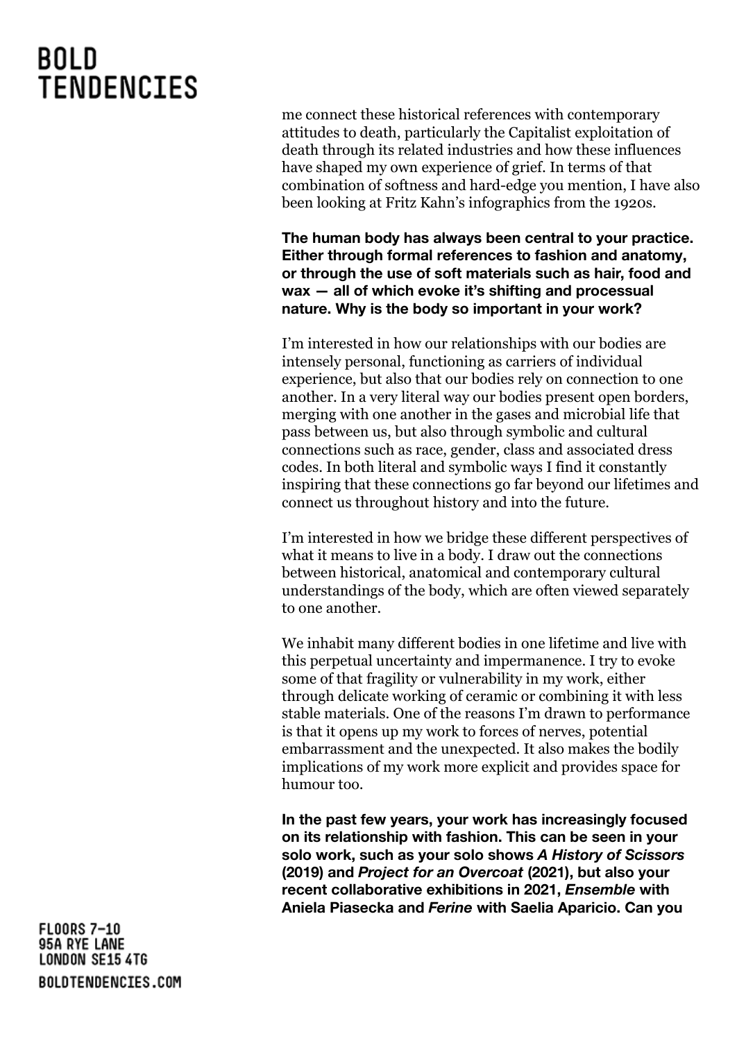me connect these historical references with contemporary attitudes to death, particularly the Capitalist exploitation of death through its related industries and how these influences have shaped my own experience of grief. In terms of that combination of softness and hard-edge you mention, I have also been looking at Fritz Kahn's infographics from the 1920s.

**The human body has always been central to your practice. Either through formal references to fashion and anatomy, or through the use of soft materials such as hair, food and wax — all of which evoke it's shifting and processual nature. Why is the body so important in your work?**

I'm interested in how our relationships with our bodies are intensely personal, functioning as carriers of individual experience, but also that our bodies rely on connection to one another. In a very literal way our bodies present open borders, merging with one another in the gases and microbial life that pass between us, but also through symbolic and cultural connections such as race, gender, class and associated dress codes. In both literal and symbolic ways I find it constantly inspiring that these connections go far beyond our lifetimes and connect us throughout history and into the future.

I'm interested in how we bridge these different perspectives of what it means to live in a body. I draw out the connections between historical, anatomical and contemporary cultural understandings of the body, which are often viewed separately to one another.

We inhabit many different bodies in one lifetime and live with this perpetual uncertainty and impermanence. I try to evoke some of that fragility or vulnerability in my work, either through delicate working of ceramic or combining it with less stable materials. One of the reasons I'm drawn to performance is that it opens up my work to forces of nerves, potential embarrassment and the unexpected. It also makes the bodily implications of my work more explicit and provides space for humour too.

**In the past few years, your work has increasingly focused on its relationship with fashion. This can be seen in your solo work, such as your solo shows** *A History of Scissors* **(2019) and** *Project for an Overcoat* **(2021), but also your recent collaborative exhibitions in 2021,** *Ensemble* **with Aniela Piasecka and** *Ferine* **with Saelia Aparicio. Can you**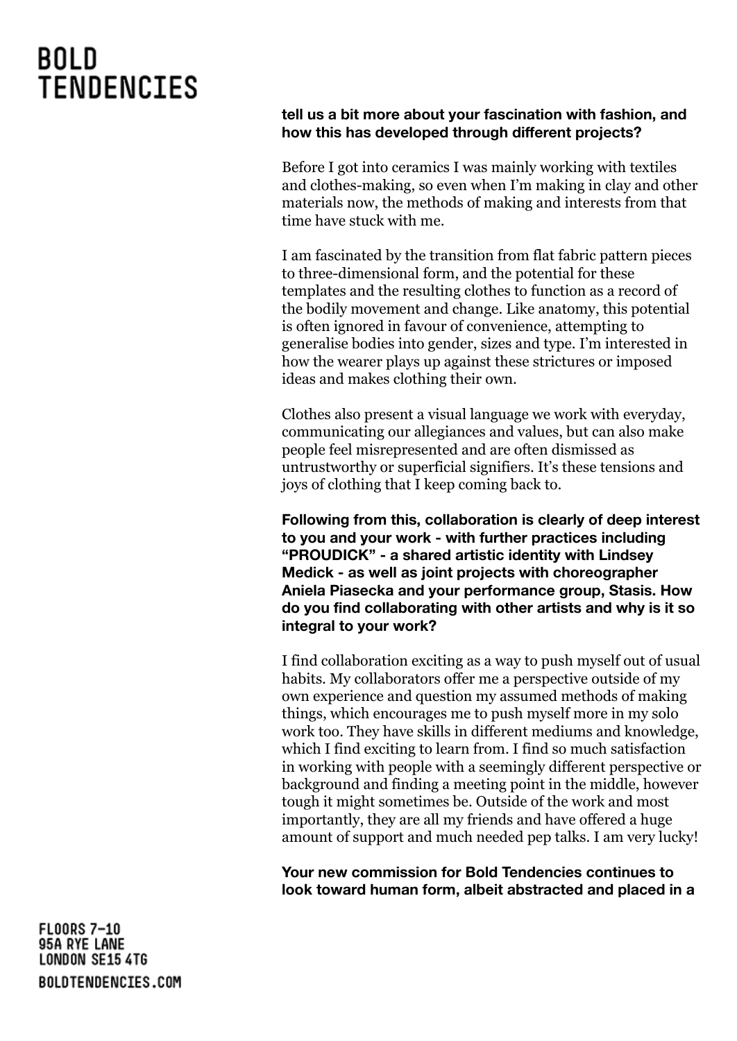#### **tell us a bit more about your fascination with fashion, and how this has developed through different projects?**

Before I got into ceramics I was mainly working with textiles and clothes-making, so even when I'm making in clay and other materials now, the methods of making and interests from that time have stuck with me.

I am fascinated by the transition from flat fabric pattern pieces to three-dimensional form, and the potential for these templates and the resulting clothes to function as a record of the bodily movement and change. Like anatomy, this potential is often ignored in favour of convenience, attempting to generalise bodies into gender, sizes and type. I'm interested in how the wearer plays up against these strictures or imposed ideas and makes clothing their own.

Clothes also present a visual language we work with everyday, communicating our allegiances and values, but can also make people feel misrepresented and are often dismissed as untrustworthy or superficial signifiers. It's these tensions and joys of clothing that I keep coming back to.

**Following from this, collaboration is clearly of deep interest to you and your work - with further practices including "PROUDICK" - a shared artistic identity with Lindsey Medick - as well as joint projects with choreographer Aniela Piasecka and your performance group, Stasis. How do you find collaborating with other artists and why is it so integral to your work?**

I find collaboration exciting as a way to push myself out of usual habits. My collaborators offer me a perspective outside of my own experience and question my assumed methods of making things, which encourages me to push myself more in my solo work too. They have skills in different mediums and knowledge, which I find exciting to learn from. I find so much satisfaction in working with people with a seemingly different perspective or background and finding a meeting point in the middle, however tough it might sometimes be. Outside of the work and most importantly, they are all my friends and have offered a huge amount of support and much needed pep talks. I am very lucky!

**Your new commission for Bold Tendencies continues to look toward human form, albeit abstracted and placed in a**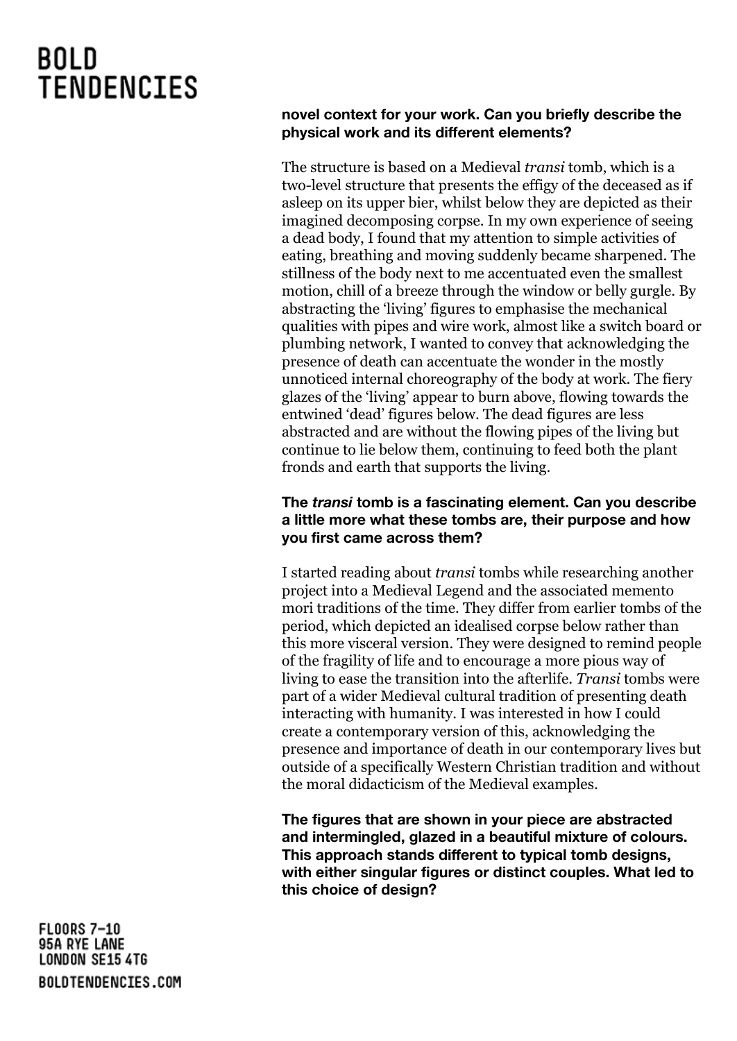#### **novel context for your work. Can you briefly describe the physical work and its different elements?**

The structure is based on a Medieval *transi* tomb, which is a two-level structure that presents the effigy of the deceased as if asleep on its upper bier, whilst below they are depicted as their imagined decomposing corpse. In my own experience of seeing a dead body, I found that my attention to simple activities of eating, breathing and moving suddenly became sharpened. The stillness of the body next to me accentuated even the smallest motion, chill of a breeze through the window or belly gurgle. By abstracting the 'living' figures to emphasise the mechanical qualities with pipes and wire work, almost like a switch board or plumbing network, I wanted to convey that acknowledging the presence of death can accentuate the wonder in the mostly unnoticed internal choreography of the body at work. The fiery glazes of the 'living' appear to burn above, flowing towards the entwined 'dead' figures below. The dead figures are less abstracted and are without the flowing pipes of the living but continue to lie below them, continuing to feed both the plant fronds and earth that supports the living.

### **The** *transi* **tomb is a fascinating element. Can you describe a little more what these tombs are, their purpose and how you first came across them?**

I started reading about *transi* tombs while researching another project into a Medieval Legend and the associated memento mori traditions of the time. They differ from earlier tombs of the period, which depicted an idealised corpse below rather than this more visceral version. They were designed to remind people of the fragility of life and to encourage a more pious way of living to ease the transition into the afterlife. *Transi* tombs were part of a wider Medieval cultural tradition of presenting death interacting with humanity. I was interested in how I could create a contemporary version of this, acknowledging the presence and importance of death in our contemporary lives but outside of a specifically Western Christian tradition and without the moral didacticism of the Medieval examples.

**The figures that are shown in your piece are abstracted and intermingled, glazed in a beautiful mixture of colours. This approach stands different to typical tomb designs, with either singular figures or distinct couples. What led to this choice of design?**